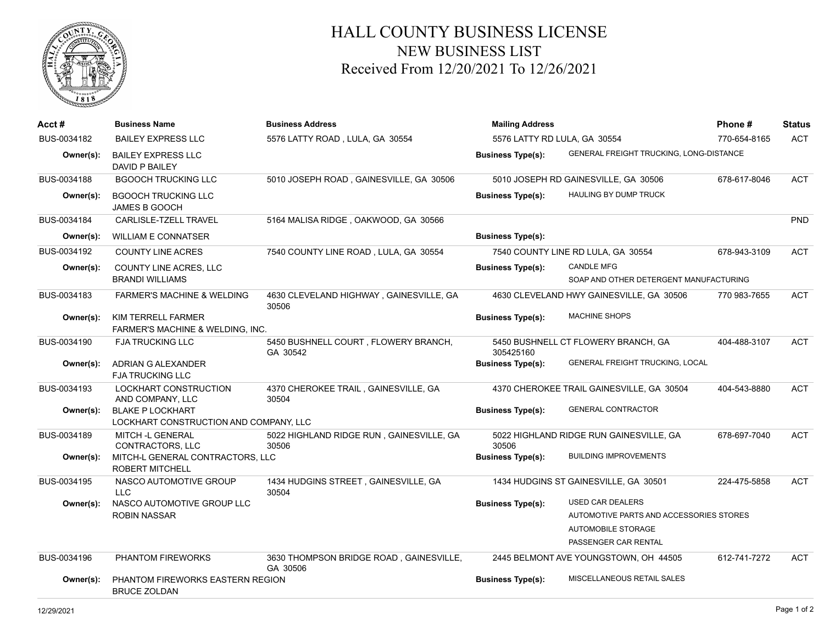

## HALL COUNTY BUSINESS LICENSE NEW BUSINESS LIST Received From 12/20/2021 To 12/26/2021

| Acct #      | <b>Business Name</b>                                              | <b>Business Address</b>                             | <b>Mailing Address</b>       |                                                | Phone#       | <b>Status</b> |
|-------------|-------------------------------------------------------------------|-----------------------------------------------------|------------------------------|------------------------------------------------|--------------|---------------|
| BUS-0034182 | <b>BAILEY EXPRESS LLC</b>                                         | 5576 LATTY ROAD, LULA, GA 30554                     | 5576 LATTY RD LULA, GA 30554 |                                                | 770-654-8165 | <b>ACT</b>    |
| Owner(s):   | <b>BAILEY EXPRESS LLC</b><br>DAVID P BAILEY                       |                                                     | <b>Business Type(s):</b>     | <b>GENERAL FREIGHT TRUCKING, LONG-DISTANCE</b> |              |               |
| BUS-0034188 | <b>BGOOCH TRUCKING LLC</b>                                        | 5010 JOSEPH ROAD, GAINESVILLE, GA 30506             |                              | 5010 JOSEPH RD GAINESVILLE, GA 30506           | 678-617-8046 | <b>ACT</b>    |
| Owner(s):   | <b>BGOOCH TRUCKING LLC</b><br><b>JAMES B GOOCH</b>                |                                                     | <b>Business Type(s):</b>     | <b>HAULING BY DUMP TRUCK</b>                   |              |               |
| BUS-0034184 | CARLISLE-TZELL TRAVEL                                             | 5164 MALISA RIDGE, OAKWOOD, GA 30566                |                              |                                                |              | PND           |
| Owner(s):   | <b>WILLIAM E CONNATSER</b>                                        |                                                     | <b>Business Type(s):</b>     |                                                |              |               |
| BUS-0034192 | <b>COUNTY LINE ACRES</b>                                          | 7540 COUNTY LINE ROAD, LULA, GA 30554               |                              | 7540 COUNTY LINE RD LULA, GA 30554             | 678-943-3109 | <b>ACT</b>    |
| Owner(s):   | <b>COUNTY LINE ACRES, LLC</b>                                     |                                                     | <b>Business Type(s):</b>     | <b>CANDLE MFG</b>                              |              |               |
|             | <b>BRANDI WILLIAMS</b>                                            |                                                     |                              | SOAP AND OTHER DETERGENT MANUFACTURING         |              |               |
| BUS-0034183 | <b>FARMER'S MACHINE &amp; WELDING</b>                             | 4630 CLEVELAND HIGHWAY, GAINESVILLE, GA<br>30506    |                              | 4630 CLEVELAND HWY GAINESVILLE, GA 30506       | 770 983-7655 | <b>ACT</b>    |
| Owner(s):   | KIM TERRELL FARMER<br><b>FARMER'S MACHINE &amp; WELDING. INC.</b> |                                                     | <b>Business Type(s):</b>     | <b>MACHINE SHOPS</b>                           |              |               |
| BUS-0034190 | <b>FJA TRUCKING LLC</b>                                           | 5450 BUSHNELL COURT, FLOWERY BRANCH,<br>GA 30542    | 305425160                    | 5450 BUSHNELL CT FLOWERY BRANCH, GA            | 404-488-3107 | <b>ACT</b>    |
| Owner(s):   | ADRIAN G ALEXANDER<br><b>FJA TRUCKING LLC</b>                     |                                                     | <b>Business Type(s):</b>     | GENERAL FREIGHT TRUCKING, LOCAL                |              |               |
| BUS-0034193 | LOCKHART CONSTRUCTION<br>AND COMPANY, LLC                         | 4370 CHEROKEE TRAIL, GAINESVILLE, GA<br>30504       |                              | 4370 CHEROKEE TRAIL GAINESVILLE, GA 30504      | 404-543-8880 | <b>ACT</b>    |
| Owner(s):   | <b>BLAKE P LOCKHART</b><br>LOCKHART CONSTRUCTION AND COMPANY, LLC |                                                     | <b>Business Type(s):</b>     | <b>GENERAL CONTRACTOR</b>                      |              |               |
| BUS-0034189 | MITCH -L GENERAL<br><b>CONTRACTORS, LLC</b>                       | 5022 HIGHLAND RIDGE RUN, GAINESVILLE, GA<br>30506   | 30506                        | 5022 HIGHLAND RIDGE RUN GAINESVILLE, GA        | 678-697-7040 | <b>ACT</b>    |
| Owner(s):   | MITCH-L GENERAL CONTRACTORS, LLC<br><b>ROBERT MITCHELL</b>        |                                                     | <b>Business Type(s):</b>     | <b>BUILDING IMPROVEMENTS</b>                   |              |               |
| BUS-0034195 | NASCO AUTOMOTIVE GROUP<br><b>LLC</b>                              | 1434 HUDGINS STREET, GAINESVILLE, GA<br>30504       |                              | 1434 HUDGINS ST GAINESVILLE, GA 30501          | 224-475-5858 | <b>ACT</b>    |
| Owner(s):   | NASCO AUTOMOTIVE GROUP LLC                                        |                                                     | <b>Business Type(s):</b>     | <b>USED CAR DEALERS</b>                        |              |               |
|             | <b>ROBIN NASSAR</b>                                               |                                                     |                              | AUTOMOTIVE PARTS AND ACCESSORIES STORES        |              |               |
|             |                                                                   |                                                     |                              | AUTOMOBILE STORAGE                             |              |               |
|             |                                                                   |                                                     |                              | PASSENGER CAR RENTAL                           |              |               |
| BUS-0034196 | <b>PHANTOM FIREWORKS</b>                                          | 3630 THOMPSON BRIDGE ROAD, GAINESVILLE,<br>GA 30506 |                              | 2445 BELMONT AVE YOUNGSTOWN, OH 44505          | 612-741-7272 | <b>ACT</b>    |
| Owner(s):   | PHANTOM FIREWORKS EASTERN REGION<br><b>BRUCE ZOLDAN</b>           |                                                     | <b>Business Type(s):</b>     | MISCELLANEOUS RETAIL SALES                     |              |               |